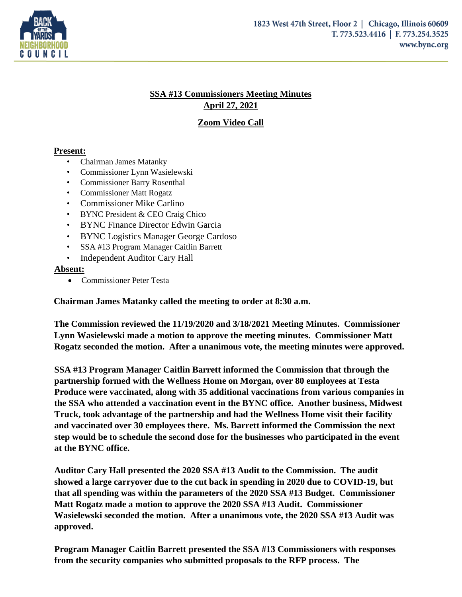

## **SSA #13 Commissioners Meeting Minutes April 27, 2021**

**Zoom Video Call**

## **Present:**

- Chairman James Matanky
- Commissioner Lynn Wasielewski
- Commissioner Barry Rosenthal
- Commissioner Matt Rogatz
- Commissioner Mike Carlino
- BYNC President & CEO Craig Chico
- BYNC Finance Director Edwin Garcia
- BYNC Logistics Manager George Cardoso
- SSA #13 Program Manager Caitlin Barrett
- Independent Auditor Cary Hall

## **Absent:**

• Commissioner Peter Testa

**Chairman James Matanky called the meeting to order at 8:30 a.m.** 

**The Commission reviewed the 11/19/2020 and 3/18/2021 Meeting Minutes. Commissioner Lynn Wasielewski made a motion to approve the meeting minutes. Commissioner Matt Rogatz seconded the motion. After a unanimous vote, the meeting minutes were approved.** 

**SSA #13 Program Manager Caitlin Barrett informed the Commission that through the partnership formed with the Wellness Home on Morgan, over 80 employees at Testa Produce were vaccinated, along with 35 additional vaccinations from various companies in the SSA who attended a vaccination event in the BYNC office. Another business, Midwest Truck, took advantage of the partnership and had the Wellness Home visit their facility and vaccinated over 30 employees there. Ms. Barrett informed the Commission the next step would be to schedule the second dose for the businesses who participated in the event at the BYNC office.** 

**Auditor Cary Hall presented the 2020 SSA #13 Audit to the Commission. The audit showed a large carryover due to the cut back in spending in 2020 due to COVID-19, but that all spending was within the parameters of the 2020 SSA #13 Budget. Commissioner Matt Rogatz made a motion to approve the 2020 SSA #13 Audit. Commissioner Wasielewski seconded the motion. After a unanimous vote, the 2020 SSA #13 Audit was approved.**

**Program Manager Caitlin Barrett presented the SSA #13 Commissioners with responses from the security companies who submitted proposals to the RFP process. The**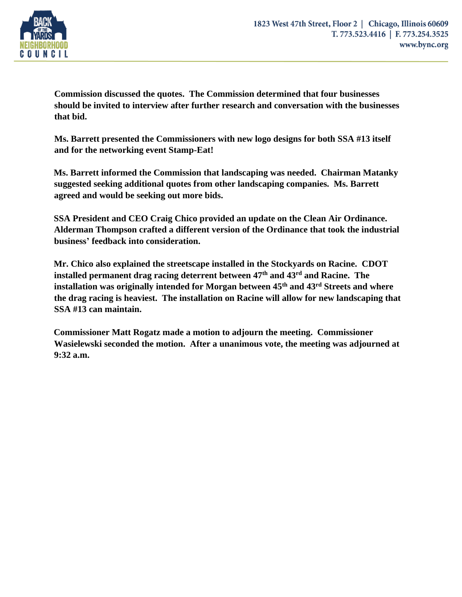

**Commission discussed the quotes. The Commission determined that four businesses should be invited to interview after further research and conversation with the businesses that bid.** 

**Ms. Barrett presented the Commissioners with new logo designs for both SSA #13 itself and for the networking event Stamp-Eat!** 

**Ms. Barrett informed the Commission that landscaping was needed. Chairman Matanky suggested seeking additional quotes from other landscaping companies. Ms. Barrett agreed and would be seeking out more bids.** 

**SSA President and CEO Craig Chico provided an update on the Clean Air Ordinance. Alderman Thompson crafted a different version of the Ordinance that took the industrial business' feedback into consideration.** 

**Mr. Chico also explained the streetscape installed in the Stockyards on Racine. CDOT installed permanent drag racing deterrent between 47 th and 43rd and Racine. The installation was originally intended for Morgan between 45th and 43rd Streets and where the drag racing is heaviest. The installation on Racine will allow for new landscaping that SSA #13 can maintain.** 

**Commissioner Matt Rogatz made a motion to adjourn the meeting. Commissioner Wasielewski seconded the motion. After a unanimous vote, the meeting was adjourned at 9:32 a.m.**